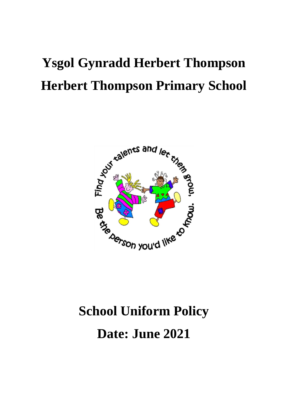# **Ysgol Gynradd Herbert Thompson Herbert Thompson Primary School**



# **School Uniform Policy Date: June 2021**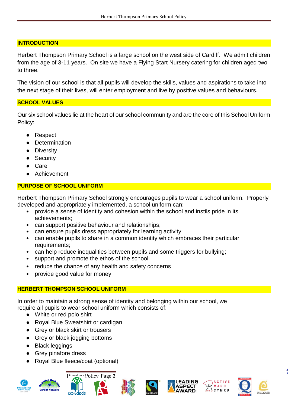# **INTRODUCTION**

Herbert Thompson Primary School is a large school on the west side of Cardiff. We admit children from the age of 3-11 years. On site we have a Flying Start Nursery catering for children aged two to three.

The vision of our school is that all pupils will develop the skills, values and aspirations to take into the next stage of their lives, will enter employment and live by positive values and behaviours.

# **SCHOOL VALUES**

Our six school values lie at the heart of our school community and are the core of this School Uniform Policy:

- Respect
- Determination
- Diversity
- Security
- Care
- Achievement

# **PURPOSE OF SCHOOL UNIFORM**

Herbert Thompson Primary School strongly encourages pupils to wear a school uniform. Properly developed and appropriately implemented, a school uniform can:

- provide a sense of identity and cohesion within the school and instils pride in its achievements;
- can support positive behaviour and relationships;
- can ensure pupils dress appropriately for learning activity;
- can enable pupils to share in a common identity which embraces their particular requirements;
- can help reduce inequalities between pupils and some triggers for bullying;
- support and promote the ethos of the school
- reduce the chance of any health and safety concerns
- provide good value for money

# **HERBERT THOMPSON SCHOOL UNIFORM**

In order to maintain a strong sense of identity and belonging within our school, we require all pupils to wear school uniform which consists of:

- White or red polo shirt
- Royal Blue Sweatshirt or cardigan
- Grey or black skirt or trousers
- Grey or black jogging bottoms
- Black leggings
- Grey pinafore dress
- Royal Blue fleece/coat (optional)













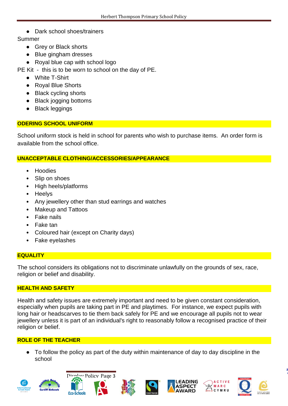● Dark school shoes/trainers

# Summer

- Grey or Black shorts
- Blue gingham dresses
- Royal blue cap with school logo

PE Kit - this is to be worn to school on the day of PE.

- White T-Shirt
- Royal Blue Shorts
- Black cycling shorts
- Black jogging bottoms
- Black leggings

# **ODERING SCHOOL UNIFORM**

School uniform stock is held in school for parents who wish to purchase items. An order form is available from the school office.

#### **UNACCEPTABLE CLOTHING/ACCESSORIES/APPEARANCE**

- Hoodies
- Slip on shoes
- High heels/platforms
- Heelys
- Any jewellery other than stud earrings and watches
- Makeup and Tattoos
- Fake nails
- Fake tan
- Coloured hair (except on Charity days)
- Fake eyelashes

# **EQUALITY**

The school considers its obligations not to discriminate unlawfully on the grounds of sex, race, religion or belief and disability.

# **HEALTH AND SAFETY**

Health and safety issues are extremely important and need to be given constant consideration, especially when pupils are taking part in PE and playtimes. For instance, we expect pupils with long hair or headscarves to tie them back safely for PE and we encourage all pupils not to wear jewellery unless it is part of an individual's right to reasonably follow a recognised practice of their religion or belief.

# **ROLE OF THE TEACHER**

● To follow the policy as part of the duty within maintenance of day to day discipline in the school